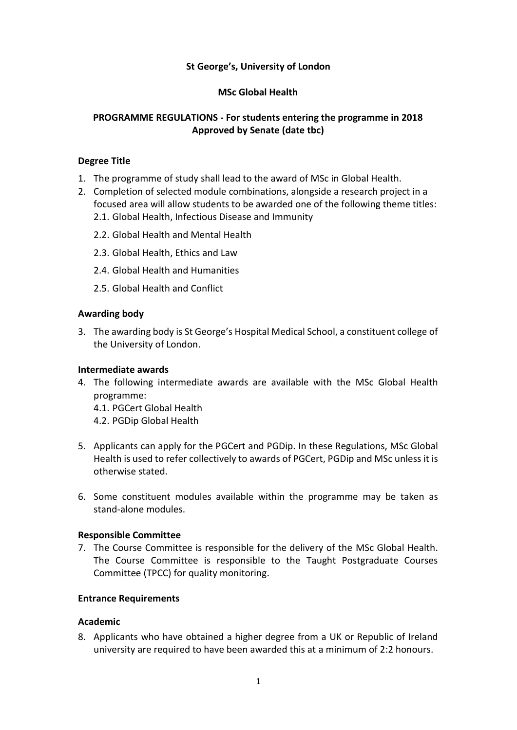## **St George's, University of London**

#### **MSc Global Health**

## **PROGRAMME REGULATIONS - For students entering the programme in 2018 Approved by Senate (date tbc)**

#### **Degree Title**

- 1. The programme of study shall lead to the award of MSc in Global Health.
- 2. Completion of selected module combinations, alongside a research project in a focused area will allow students to be awarded one of the following theme titles:
	- 2.1. Global Health, Infectious Disease and Immunity
	- 2.2. Global Health and Mental Health
	- 2.3. Global Health, Ethics and Law
	- 2.4. Global Health and Humanities
	- 2.5. Global Health and Conflict

#### **Awarding body**

3. The awarding body is St George's Hospital Medical School, a constituent college of the University of London.

#### **Intermediate awards**

- 4. The following intermediate awards are available with the MSc Global Health programme:
	- 4.1. PGCert Global Health
	- 4.2. PGDip Global Health
- 5. Applicants can apply for the PGCert and PGDip. In these Regulations, MSc Global Health is used to refer collectively to awards of PGCert, PGDip and MSc unless it is otherwise stated.
- 6. Some constituent modules available within the programme may be taken as stand-alone modules.

#### **Responsible Committee**

7. The Course Committee is responsible for the delivery of the MSc Global Health. The Course Committee is responsible to the Taught Postgraduate Courses Committee (TPCC) for quality monitoring.

#### **Entrance Requirements**

#### **Academic**

8. Applicants who have obtained a higher degree from a UK or Republic of Ireland university are required to have been awarded this at a minimum of 2:2 honours.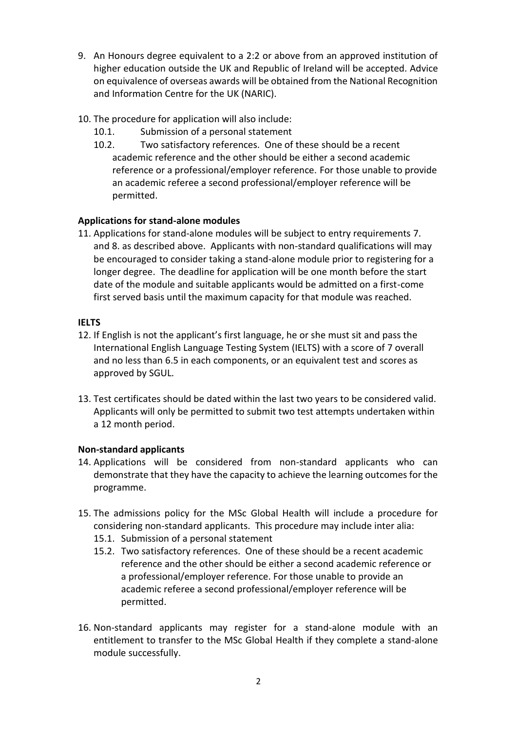- 9. An Honours degree equivalent to a 2:2 or above from an approved institution of higher education outside the UK and Republic of Ireland will be accepted. Advice on equivalence of overseas awards will be obtained from the National Recognition and Information Centre for the UK (NARIC).
- 10. The procedure for application will also include:
	- 10.1. Submission of a personal statement
	- 10.2. Two satisfactory references. One of these should be a recent academic reference and the other should be either a second academic reference or a professional/employer reference. For those unable to provide an academic referee a second professional/employer reference will be permitted.

# **Applications for stand-alone modules**

11. Applications for stand-alone modules will be subject to entry requirements 7. and 8. as described above. Applicants with non-standard qualifications will may be encouraged to consider taking a stand-alone module prior to registering for a longer degree. The deadline for application will be one month before the start date of the module and suitable applicants would be admitted on a first-come first served basis until the maximum capacity for that module was reached.

## **IELTS**

- 12. If English is not the applicant's first language, he or she must sit and pass the International English Language Testing System (IELTS) with a score of 7 overall and no less than 6.5 in each components, or an equivalent test and scores as approved by SGUL.
- 13. Test certificates should be dated within the last two years to be considered valid. Applicants will only be permitted to submit two test attempts undertaken within a 12 month period.

## **Non-standard applicants**

- 14. Applications will be considered from non-standard applicants who can demonstrate that they have the capacity to achieve the learning outcomes for the programme.
- 15. The admissions policy for the MSc Global Health will include a procedure for considering non-standard applicants. This procedure may include inter alia:
	- 15.1. Submission of a personal statement
	- 15.2. Two satisfactory references. One of these should be a recent academic reference and the other should be either a second academic reference or a professional/employer reference. For those unable to provide an academic referee a second professional/employer reference will be permitted.
- 16. Non-standard applicants may register for a stand-alone module with an entitlement to transfer to the MSc Global Health if they complete a stand-alone module successfully.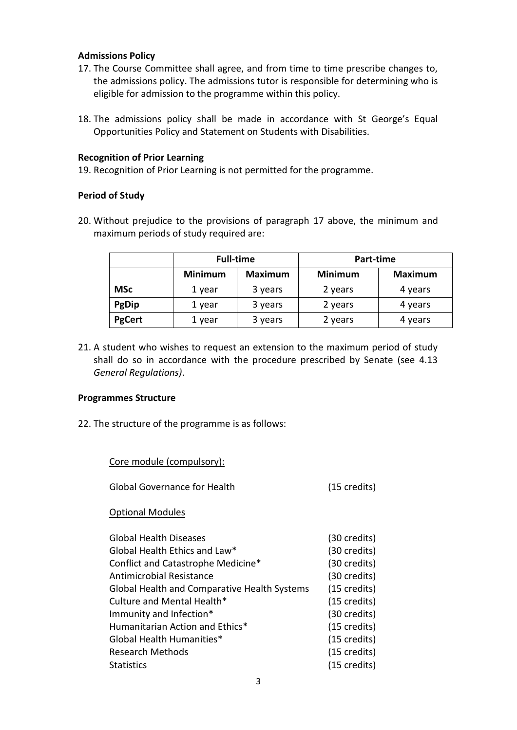#### **Admissions Policy**

- 17. The Course Committee shall agree, and from time to time prescribe changes to, the admissions policy. The admissions tutor is responsible for determining who is eligible for admission to the programme within this policy.
- 18. The admissions policy shall be made in accordance with St George's Equal Opportunities Policy and Statement on Students with Disabilities.

#### **Recognition of Prior Learning**

19. Recognition of Prior Learning is not permitted for the programme.

## **Period of Study**

20. Without prejudice to the provisions of paragraph 17 above, the minimum and maximum periods of study required are:

|               | <b>Full-time</b> |                | Part-time      |                |
|---------------|------------------|----------------|----------------|----------------|
|               | <b>Minimum</b>   | <b>Maximum</b> | <b>Minimum</b> | <b>Maximum</b> |
| <b>MSc</b>    | 1 year           | 3 years        | 2 years        | 4 years        |
| PgDip         | 1 year           | 3 years        | 2 years        | 4 years        |
| <b>PgCert</b> | 1 year           | 3 years        | 2 years        | 4 years        |

21. A student who wishes to request an extension to the maximum period of study shall do so in accordance with the procedure prescribed by Senate (see 4.13 *General Regulations)*.

#### **Programmes Structure**

22. The structure of the programme is as follows:

| $(15 \text{ credits})$ |
|------------------------|
|                        |
| (30 credits)           |
| (30 credits)           |
| (30 credits)           |
| (30 credits)           |
| $(15 \text{ credits})$ |
| (15 credits)           |
| (30 credits)           |
| (15 credits)           |
| (15 credits)           |
| (15 credits)           |
| (15 credits)           |
|                        |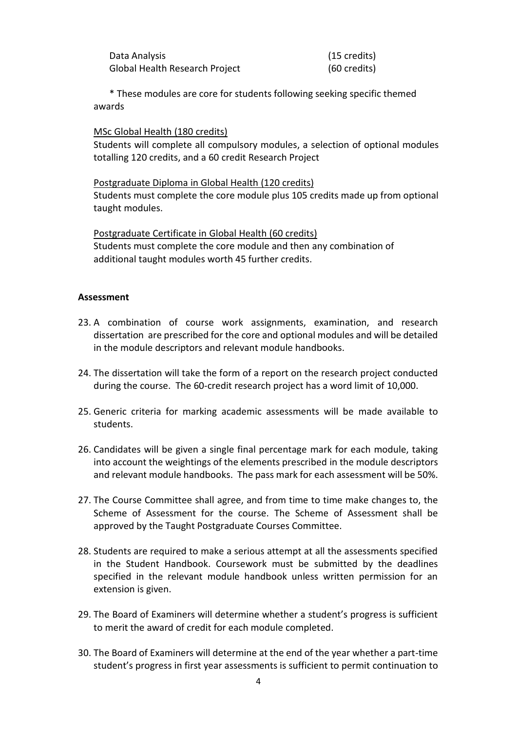| Data Analysis                  | (15 credits) |
|--------------------------------|--------------|
| Global Health Research Project | (60 credits) |

\* These modules are core for students following seeking specific themed awards

MSc Global Health (180 credits)

Students will complete all compulsory modules, a selection of optional modules totalling 120 credits, and a 60 credit Research Project

Postgraduate Diploma in Global Health (120 credits) Students must complete the core module plus 105 credits made up from optional taught modules.

Postgraduate Certificate in Global Health (60 credits) Students must complete the core module and then any combination of additional taught modules worth 45 further credits.

#### **Assessment**

- 23. A combination of course work assignments, examination, and research dissertation are prescribed for the core and optional modules and will be detailed in the module descriptors and relevant module handbooks.
- 24. The dissertation will take the form of a report on the research project conducted during the course. The 60-credit research project has a word limit of 10,000.
- 25. Generic criteria for marking academic assessments will be made available to students.
- 26. Candidates will be given a single final percentage mark for each module, taking into account the weightings of the elements prescribed in the module descriptors and relevant module handbooks. The pass mark for each assessment will be 50%.
- 27. The Course Committee shall agree, and from time to time make changes to, the Scheme of Assessment for the course. The Scheme of Assessment shall be approved by the Taught Postgraduate Courses Committee.
- 28. Students are required to make a serious attempt at all the assessments specified in the Student Handbook. Coursework must be submitted by the deadlines specified in the relevant module handbook unless written permission for an extension is given.
- 29. The Board of Examiners will determine whether a student's progress is sufficient to merit the award of credit for each module completed.
- 30. The Board of Examiners will determine at the end of the year whether a part-time student's progress in first year assessments is sufficient to permit continuation to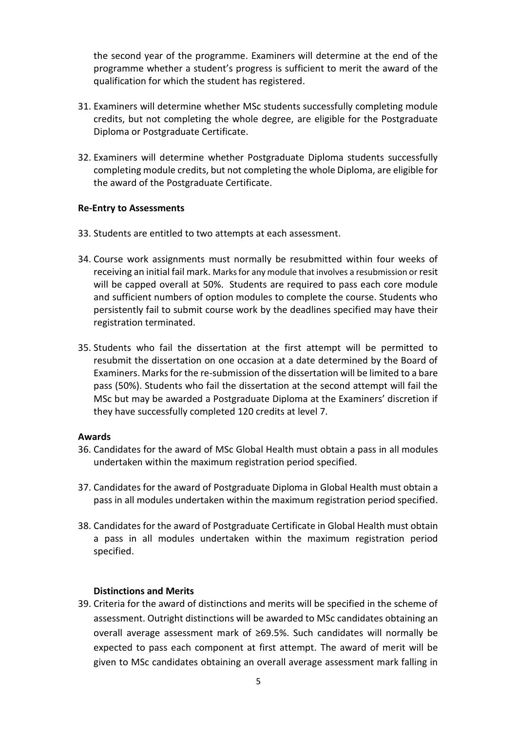the second year of the programme. Examiners will determine at the end of the programme whether a student's progress is sufficient to merit the award of the qualification for which the student has registered.

- 31. Examiners will determine whether MSc students successfully completing module credits, but not completing the whole degree, are eligible for the Postgraduate Diploma or Postgraduate Certificate.
- 32. Examiners will determine whether Postgraduate Diploma students successfully completing module credits, but not completing the whole Diploma, are eligible for the award of the Postgraduate Certificate.

## **Re-Entry to Assessments**

- 33. Students are entitled to two attempts at each assessment.
- 34. Course work assignments must normally be resubmitted within four weeks of receiving an initial fail mark. Marks for any module that involves a resubmission or resit will be capped overall at 50%.Students are required to pass each core module and sufficient numbers of option modules to complete the course. Students who persistently fail to submit course work by the deadlines specified may have their registration terminated.
- 35. Students who fail the dissertation at the first attempt will be permitted to resubmit the dissertation on one occasion at a date determined by the Board of Examiners. Marks for the re-submission of the dissertation will be limited to a bare pass (50%). Students who fail the dissertation at the second attempt will fail the MSc but may be awarded a Postgraduate Diploma at the Examiners' discretion if they have successfully completed 120 credits at level 7.

#### **Awards**

- 36. Candidates for the award of MSc Global Health must obtain a pass in all modules undertaken within the maximum registration period specified.
- 37. Candidates for the award of Postgraduate Diploma in Global Health must obtain a pass in all modules undertaken within the maximum registration period specified.
- 38. Candidates for the award of Postgraduate Certificate in Global Health must obtain a pass in all modules undertaken within the maximum registration period specified.

#### **Distinctions and Merits**

39. Criteria for the award of distinctions and merits will be specified in the scheme of assessment. Outright distinctions will be awarded to MSc candidates obtaining an overall average assessment mark of ≥69.5%. Such candidates will normally be expected to pass each component at first attempt. The award of merit will be given to MSc candidates obtaining an overall average assessment mark falling in